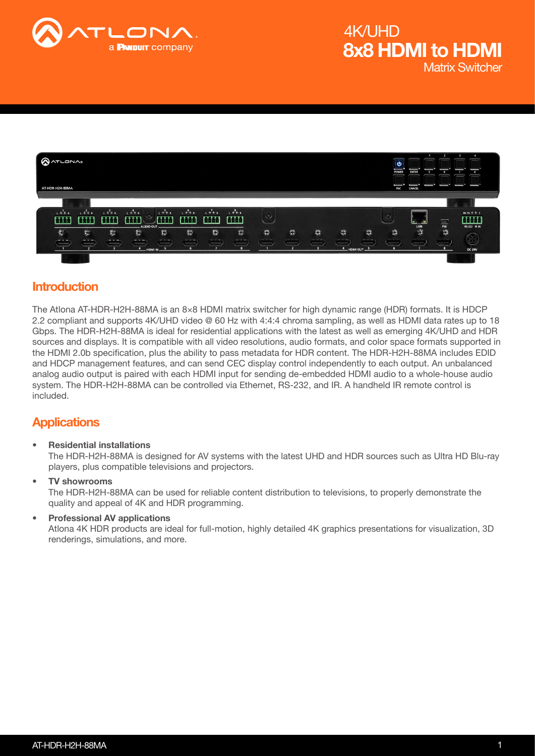



### Introduction

The Atlona AT-HDR-H2H-88MA is an 8×8 HDMI matrix switcher for high dynamic range (HDR) formats. It is HDCP 2.2 compliant and supports 4K/UHD video @ 60 Hz with 4:4:4 chroma sampling, as well as HDMI data rates up to 18 Gbps. The HDR-H2H-88MA is ideal for residential applications with the latest as well as emerging 4K/UHD and HDR sources and displays. It is compatible with all video resolutions, audio formats, and color space formats supported in the HDMI 2.0b specification, plus the ability to pass metadata for HDR content. The HDR-H2H-88MA includes EDID and HDCP management features, and can send CEC display control independently to each output. An unbalanced analog audio output is paired with each HDMI input for sending de-embedded HDMI audio to a whole-house audio system. The HDR-H2H-88MA can be controlled via Ethernet, RS-232, and IR. A handheld IR remote control is included.

### **Applications**

• Residential installations

The HDR-H2H-88MA is designed for AV systems with the latest UHD and HDR sources such as Ultra HD Blu-ray players, plus compatible televisions and projectors.

- TV showrooms The HDR-H2H-88MA can be used for reliable content distribution to televisions, to properly demonstrate the quality and appeal of 4K and HDR programming.
- Professional AV applications Atlona 4K HDR products are ideal for full-motion, highly detailed 4K graphics presentations for visualization, 3D renderings, simulations, and more.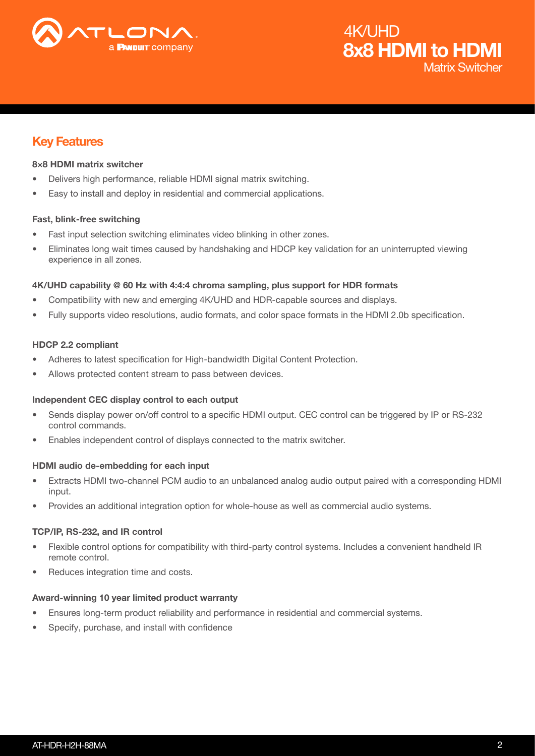

### Matrix Switcher 8x8 HDMI to HDMI 4K/UHD

### Key Features

#### 8×8 HDMI matrix switcher

- Delivers high performance, reliable HDMI signal matrix switching.
- Easy to install and deploy in residential and commercial applications.

#### Fast, blink-free switching

- Fast input selection switching eliminates video blinking in other zones.
- Eliminates long wait times caused by handshaking and HDCP key validation for an uninterrupted viewing experience in all zones.

#### 4K/UHD capability @ 60 Hz with 4:4:4 chroma sampling, plus support for HDR formats

- Compatibility with new and emerging 4K/UHD and HDR-capable sources and displays.
- Fully supports video resolutions, audio formats, and color space formats in the HDMI 2.0b specification.

#### HDCP 2.2 compliant

- Adheres to latest specification for High-bandwidth Digital Content Protection.
- Allows protected content stream to pass between devices.

#### Independent CEC display control to each output

- Sends display power on/off control to a specific HDMI output. CEC control can be triggered by IP or RS-232 control commands.
- Enables independent control of displays connected to the matrix switcher.

#### HDMI audio de-embedding for each input

- Extracts HDMI two-channel PCM audio to an unbalanced analog audio output paired with a corresponding HDMI input.
- Provides an additional integration option for whole-house as well as commercial audio systems.

#### TCP/IP, RS-232, and IR control

- Flexible control options for compatibility with third-party control systems. Includes a convenient handheld IR remote control.
- Reduces integration time and costs.

#### Award-winning 10 year limited product warranty

- Ensures long-term product reliability and performance in residential and commercial systems.
- Specify, purchase, and install with confidence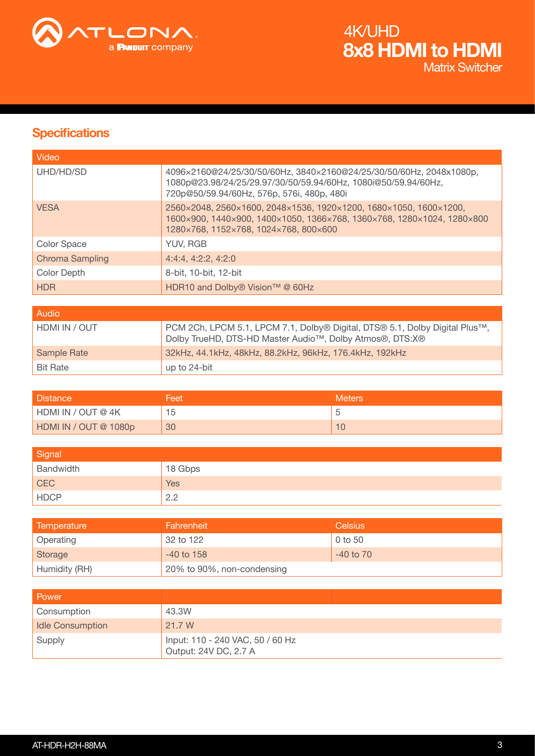

### **Specifications**

| Video                  |                                                                                                                                                                                      |
|------------------------|--------------------------------------------------------------------------------------------------------------------------------------------------------------------------------------|
| UHD/HD/SD              | 4096×2160@24/25/30/50/60Hz, 3840×2160@24/25/30/50/60Hz, 2048x1080p,<br>1080p@23.98/24/25/29.97/30/50/59.94/60Hz, 1080i@50/59.94/60Hz,<br>720p@50/59.94/60Hz, 576p, 576i, 480p, 480i  |
| <b>VESA</b>            | 2560×2048, 2560×1600, 2048×1536, 1920×1200, 1680×1050, 1600×1200,<br>1600×900, 1440×900, 1400×1050, 1366×768, 1360×768, 1280×1024, 1280×800<br>1280×768, 1152×768, 1024×768, 800×600 |
| Color Space            | YUV, RGB                                                                                                                                                                             |
| <b>Chroma Sampling</b> | 4:4:4, 4:2:2, 4:2:0                                                                                                                                                                  |
| Color Depth            | 8-bit, 10-bit, 12-bit                                                                                                                                                                |
| <b>HDR</b>             | HDR10 and Dolby® Vision™ @ 60Hz                                                                                                                                                      |
|                        |                                                                                                                                                                                      |

| Audio           |                                                                                                                                                      |
|-----------------|------------------------------------------------------------------------------------------------------------------------------------------------------|
| HDMI IN / OUT   | PCM 2Ch, LPCM 5.1, LPCM 7.1, Dolby® Digital, DTS® 5.1, Dolby Digital Plus™,<br>Dolby TrueHD, DTS-HD Master Audio <sup>™</sup> , Dolby Atmos®, DTS:X® |
| Sample Rate     | 32kHz, 44.1kHz, 48kHz, 88.2kHz, 96kHz, 176.4kHz, 192kHz                                                                                              |
| <b>Bit Rate</b> | up to 24-bit                                                                                                                                         |

| <b>Distance</b>       | Feet | <b>Meters</b> |
|-----------------------|------|---------------|
| HDMI IN / OUT @ 4K    | Ι5   |               |
| HDMI IN / OUT @ 1080p | 30   |               |

| Signal      |            |
|-------------|------------|
| Bandwidth   | 18 Gbps    |
| <b>CEC</b>  | <b>Yes</b> |
| <b>HDCP</b> | 2.2        |

| Temperature      | Fahrenheit                 | <b>Celsius</b> |
|------------------|----------------------------|----------------|
| <b>Operating</b> | 32 to 122                  | 0 to 50        |
| Storage          | $-40$ to 158               | $-40$ to $70$  |
| Humidity (RH)    | 20% to 90%, non-condensing |                |

| Power            |                                                           |
|------------------|-----------------------------------------------------------|
| Consumption      | 43.3W                                                     |
| Idle Consumption | 21.7 W                                                    |
| Supply           | Input: 110 - 240 VAC, 50 / 60 Hz<br>Output: 24V DC, 2.7 A |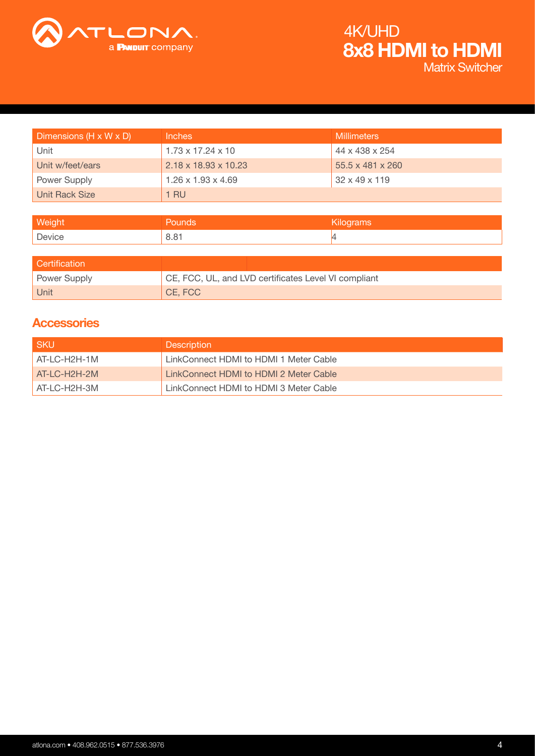

# 8x8 HDMI to HDMI 4K/UHD

Matrix Switcher

| Dimensions (H x W x D) | Inches                           | <b>Millimeters</b>           |
|------------------------|----------------------------------|------------------------------|
| Unit                   | $1.73 \times 17.24 \times 10$    | 44 x 438 x 254               |
| Unit w/feet/ears       | $2.18 \times 18.93 \times 10.23$ | $55.5 \times 481 \times 260$ |
| Power Supply           | $1.26 \times 1.93 \times 4.69$   | $32 \times 49 \times 119$    |
| <b>Unit Rack Size</b>  | 1 RU                             |                              |

| <b>Weight</b> | <b>Pounds</b> | Kilograms |
|---------------|---------------|-----------|
| Device        | 8.81          |           |
|               |               |           |

| <b>Certification</b> |                                                      |
|----------------------|------------------------------------------------------|
| Power Supply         | CE, FCC, UL, and LVD certificates Level VI compliant |
| Unit                 | $C$ E, FCC                                           |

### **Accessories**

| l SKU          | <b>Description</b>                     |
|----------------|----------------------------------------|
| AT-LC-H2H-1M   | LinkConnect HDMI to HDMI 1 Meter Cable |
| $AT-LC-H2H-2M$ | LinkConnect HDMI to HDMI 2 Meter Cable |
| $AT-LC-H2H-3M$ | LinkConnect HDMI to HDMI 3 Meter Cable |